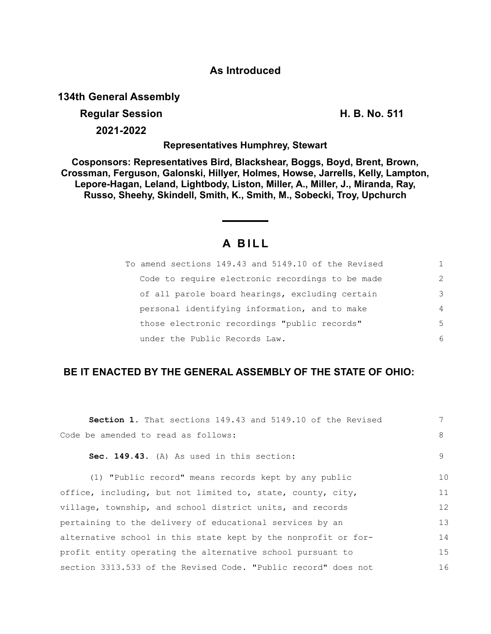## **As Introduced**

**134th General Assembly**

## **Regular Session H. B. No. 511**

**2021-2022**

### **Representatives Humphrey, Stewart**

**Cosponsors: Representatives Bird, Blackshear, Boggs, Boyd, Brent, Brown, Crossman, Ferguson, Galonski, Hillyer, Holmes, Howse, Jarrells, Kelly, Lampton, Lepore-Hagan, Leland, Lightbody, Liston, Miller, A., Miller, J., Miranda, Ray, Russo, Sheehy, Skindell, Smith, K., Smith, M., Sobecki, Troy, Upchurch**

# **A B I L L**

| To amend sections 149.43 and 5149.10 of the Revised |                |
|-----------------------------------------------------|----------------|
| Code to require electronic recordings to be made    | 2              |
| of all parole board hearings, excluding certain     | 3              |
| personal identifying information, and to make       | $\overline{4}$ |
| those electronic recordings "public records"        | 5              |
| under the Public Records Law.                       | 6              |

# **BE IT ENACTED BY THE GENERAL ASSEMBLY OF THE STATE OF OHIO:**

| <b>Section 1.</b> That sections 149.43 and 5149.10 of the Revised |    |
|-------------------------------------------------------------------|----|
| Code be amended to read as follows:                               | 8  |
| Sec. 149.43. (A) As used in this section:                         | 9  |
| (1) "Public record" means records kept by any public              | 10 |
| office, including, but not limited to, state, county, city,       | 11 |
| village, township, and school district units, and records         | 12 |
| pertaining to the delivery of educational services by an          | 13 |
| alternative school in this state kept by the nonprofit or for-    | 14 |
| profit entity operating the alternative school pursuant to        | 15 |
| section 3313.533 of the Revised Code. "Public record" does not    | 16 |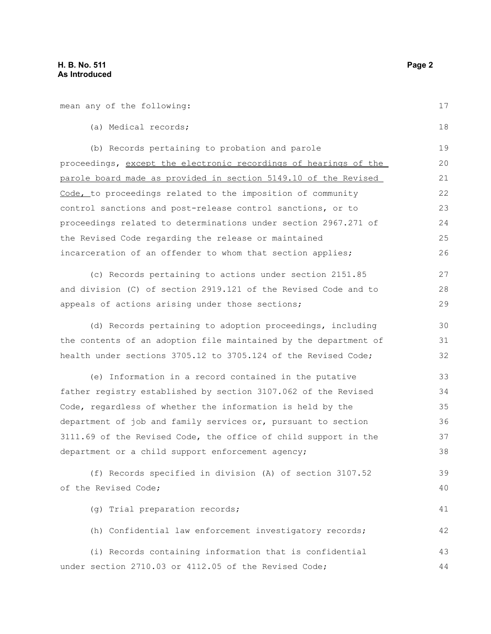mean any of the following:

(a) Medical records; (b) Records pertaining to probation and parole proceedings, except the electronic recordings of hearings of the parole board made as provided in section 5149.10 of the Revised Code, to proceedings related to the imposition of community control sanctions and post-release control sanctions, or to proceedings related to determinations under section 2967.271 of the Revised Code regarding the release or maintained incarceration of an offender to whom that section applies; (c) Records pertaining to actions under section 2151.85 and division (C) of section 2919.121 of the Revised Code and to appeals of actions arising under those sections; (d) Records pertaining to adoption proceedings, including the contents of an adoption file maintained by the department of health under sections 3705.12 to 3705.124 of the Revised Code; (e) Information in a record contained in the putative father registry established by section 3107.062 of the Revised Code, regardless of whether the information is held by the department of job and family services or, pursuant to section 3111.69 of the Revised Code, the office of child support in the department or a child support enforcement agency; (f) Records specified in division (A) of section 3107.52 of the Revised Code; (g) Trial preparation records; (h) Confidential law enforcement investigatory records; (i) Records containing information that is confidential under section 2710.03 or 4112.05 of the Revised Code; 18 19 20 21 22 23 24 25 26 27 28 29 30 31 32 33 34 35 36 37 38 39 40 41 42 43 44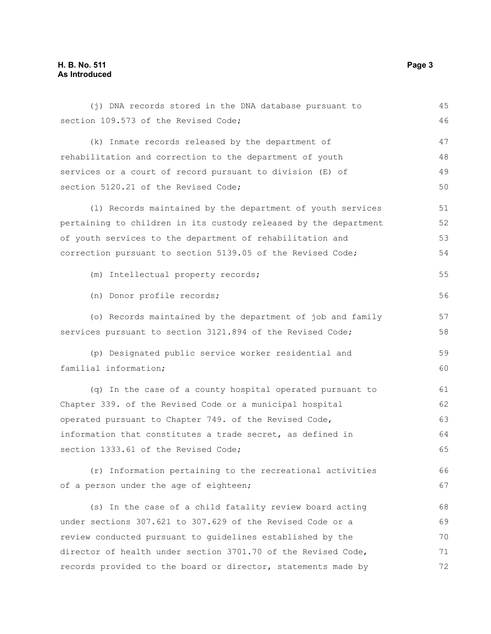## **H. B. No. 511 Page 3 As Introduced**

| (j) DNA records stored in the DNA database pursuant to           | 45 |
|------------------------------------------------------------------|----|
| section 109.573 of the Revised Code;                             | 46 |
| (k) Inmate records released by the department of                 | 47 |
| rehabilitation and correction to the department of youth         | 48 |
| services or a court of record pursuant to division (E) of        | 49 |
| section 5120.21 of the Revised Code;                             | 50 |
| (1) Records maintained by the department of youth services       | 51 |
| pertaining to children in its custody released by the department | 52 |
| of youth services to the department of rehabilitation and        | 53 |
| correction pursuant to section 5139.05 of the Revised Code;      | 54 |
| (m) Intellectual property records;                               | 55 |
| (n) Donor profile records;                                       | 56 |
| (o) Records maintained by the department of job and family       | 57 |
| services pursuant to section 3121.894 of the Revised Code;       | 58 |
| (p) Designated public service worker residential and             | 59 |
| familial information;                                            | 60 |
| (q) In the case of a county hospital operated pursuant to        | 61 |
| Chapter 339. of the Revised Code or a municipal hospital         | 62 |
| operated pursuant to Chapter 749. of the Revised Code,           | 63 |
| information that constitutes a trade secret, as defined in       | 64 |
| section 1333.61 of the Revised Code;                             | 65 |
| (r) Information pertaining to the recreational activities        | 66 |
| of a person under the age of eighteen;                           | 67 |
| (s) In the case of a child fatality review board acting          | 68 |
| under sections 307.621 to 307.629 of the Revised Code or a       | 69 |
| review conducted pursuant to guidelines established by the       | 70 |
| director of health under section 3701.70 of the Revised Code,    | 71 |
| records provided to the board or director, statements made by    | 72 |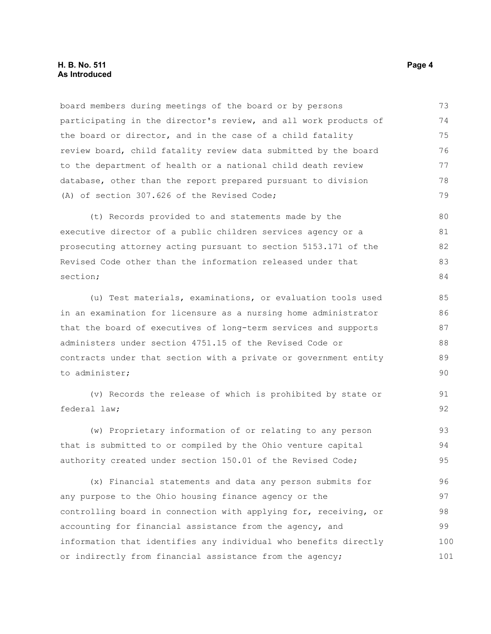#### **H. B. No. 511** Page 4 **As Introduced**

board members during meetings of the board or by persons participating in the director's review, and all work products of the board or director, and in the case of a child fatality review board, child fatality review data submitted by the board to the department of health or a national child death review database, other than the report prepared pursuant to division (A) of section 307.626 of the Revised Code; 73 74 75 76 77 78 79

(t) Records provided to and statements made by the executive director of a public children services agency or a prosecuting attorney acting pursuant to section 5153.171 of the Revised Code other than the information released under that section; 80 81 82 83 84

(u) Test materials, examinations, or evaluation tools used in an examination for licensure as a nursing home administrator that the board of executives of long-term services and supports administers under section 4751.15 of the Revised Code or contracts under that section with a private or government entity to administer;

(v) Records the release of which is prohibited by state or federal law;

(w) Proprietary information of or relating to any person that is submitted to or compiled by the Ohio venture capital authority created under section 150.01 of the Revised Code; 93 94 95

(x) Financial statements and data any person submits for any purpose to the Ohio housing finance agency or the controlling board in connection with applying for, receiving, or accounting for financial assistance from the agency, and information that identifies any individual who benefits directly or indirectly from financial assistance from the agency; 96 97 98 99 100 101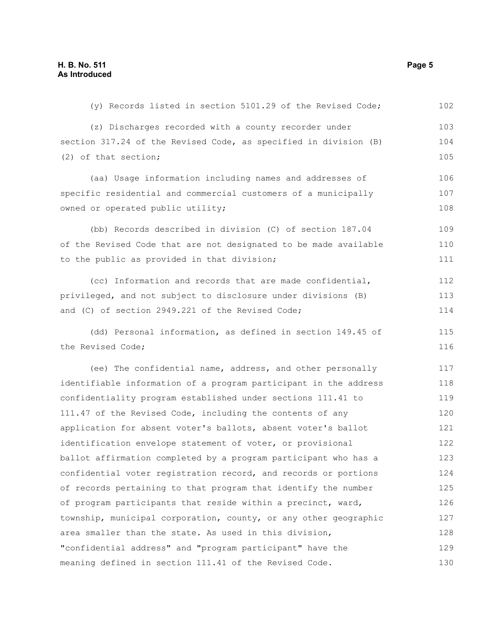| (y) Records listed in section 5101.29 of the Revised Code;       | 102 |
|------------------------------------------------------------------|-----|
| (z) Discharges recorded with a county recorder under             | 103 |
| section 317.24 of the Revised Code, as specified in division (B) | 104 |
| (2) of that section;                                             | 105 |
| (aa) Usage information including names and addresses of          | 106 |
| specific residential and commercial customers of a municipally   | 107 |
| owned or operated public utility;                                | 108 |
| (bb) Records described in division (C) of section 187.04         | 109 |
| of the Revised Code that are not designated to be made available | 110 |
| to the public as provided in that division;                      | 111 |
| (cc) Information and records that are made confidential,         | 112 |
| privileged, and not subject to disclosure under divisions (B)    | 113 |
| and (C) of section 2949.221 of the Revised Code;                 | 114 |
| (dd) Personal information, as defined in section 149.45 of       | 115 |
| the Revised Code;                                                | 116 |
| (ee) The confidential name, address, and other personally        | 117 |
| identifiable information of a program participant in the address | 118 |
| confidentiality program established under sections 111.41 to     | 119 |
| 111.47 of the Revised Code, including the contents of any        | 120 |
| application for absent voter's ballots, absent voter's ballot    | 121 |
| identification envelope statement of voter, or provisional       | 122 |
| ballot affirmation completed by a program participant who has a  | 123 |
| confidential voter registration record, and records or portions  | 124 |
| of records pertaining to that program that identify the number   | 125 |
| of program participants that reside within a precinct, ward,     | 126 |
| township, municipal corporation, county, or any other geographic | 127 |
| area smaller than the state. As used in this division,           | 128 |
| "confidential address" and "program participant" have the        | 129 |
| meaning defined in section 111.41 of the Revised Code.           | 130 |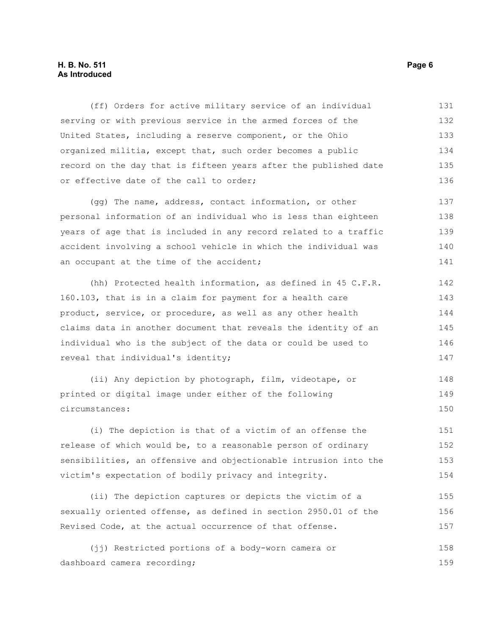#### **H. B. No. 511** Page 6 **As Introduced**

(ff) Orders for active military service of an individual serving or with previous service in the armed forces of the United States, including a reserve component, or the Ohio organized militia, except that, such order becomes a public record on the day that is fifteen years after the published date or effective date of the call to order; 131 132 133 134 135 136

(gg) The name, address, contact information, or other personal information of an individual who is less than eighteen years of age that is included in any record related to a traffic accident involving a school vehicle in which the individual was an occupant at the time of the accident; 137 138 139 140 141

(hh) Protected health information, as defined in 45 C.F.R. 160.103, that is in a claim for payment for a health care product, service, or procedure, as well as any other health claims data in another document that reveals the identity of an individual who is the subject of the data or could be used to reveal that individual's identity; 142 143 144 145 146 147

(ii) Any depiction by photograph, film, videotape, or printed or digital image under either of the following circumstances: 148 149 150

(i) The depiction is that of a victim of an offense the release of which would be, to a reasonable person of ordinary sensibilities, an offensive and objectionable intrusion into the victim's expectation of bodily privacy and integrity. 151 152 153 154

(ii) The depiction captures or depicts the victim of a sexually oriented offense, as defined in section 2950.01 of the Revised Code, at the actual occurrence of that offense. 155 156 157

(jj) Restricted portions of a body-worn camera or dashboard camera recording; 158 159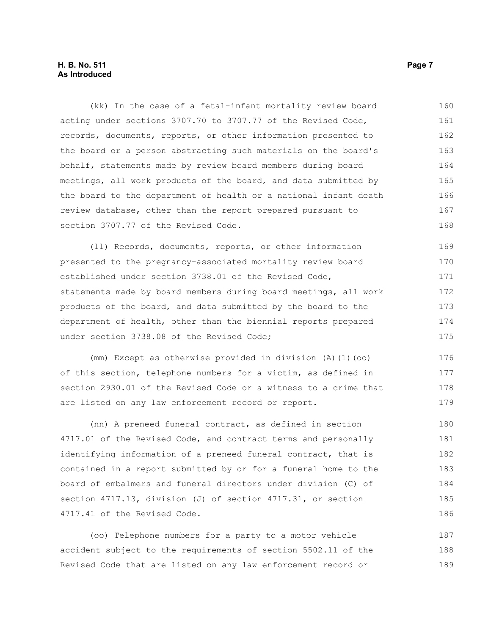#### **H. B. No. 511** Page 7 **As Introduced**

(kk) In the case of a fetal-infant mortality review board acting under sections 3707.70 to 3707.77 of the Revised Code, records, documents, reports, or other information presented to the board or a person abstracting such materials on the board's behalf, statements made by review board members during board meetings, all work products of the board, and data submitted by the board to the department of health or a national infant death review database, other than the report prepared pursuant to section 3707.77 of the Revised Code. 160 161 162 163 164 165 166 167 168

(ll) Records, documents, reports, or other information presented to the pregnancy-associated mortality review board established under section 3738.01 of the Revised Code, statements made by board members during board meetings, all work products of the board, and data submitted by the board to the department of health, other than the biennial reports prepared under section 3738.08 of the Revised Code; 169 170 171 172 173 174 175

(mm) Except as otherwise provided in division (A)(1)(oo) of this section, telephone numbers for a victim, as defined in section 2930.01 of the Revised Code or a witness to a crime that are listed on any law enforcement record or report. 176 177 178 179

(nn) A preneed funeral contract, as defined in section 4717.01 of the Revised Code, and contract terms and personally identifying information of a preneed funeral contract, that is contained in a report submitted by or for a funeral home to the board of embalmers and funeral directors under division (C) of section 4717.13, division (J) of section 4717.31, or section 4717.41 of the Revised Code. 180 181 182 183 184 185 186

(oo) Telephone numbers for a party to a motor vehicle accident subject to the requirements of section 5502.11 of the Revised Code that are listed on any law enforcement record or 187 188 189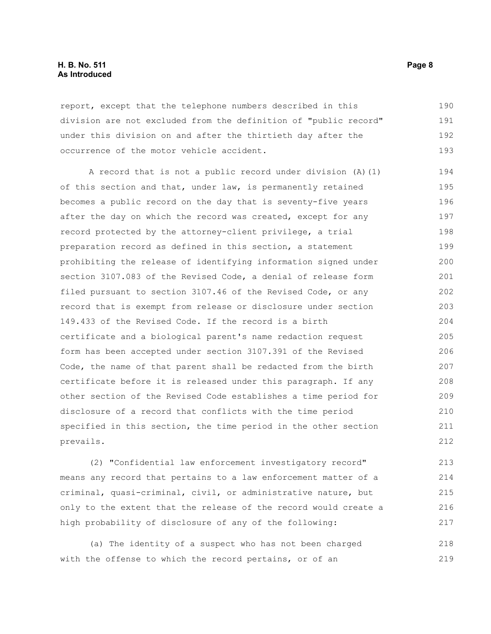#### **H. B. No. 511 Page 8 As Introduced**

report, except that the telephone numbers described in this division are not excluded from the definition of "public record" under this division on and after the thirtieth day after the occurrence of the motor vehicle accident. 190 191 192 193

A record that is not a public record under division (A)(1) of this section and that, under law, is permanently retained becomes a public record on the day that is seventy-five years after the day on which the record was created, except for any record protected by the attorney-client privilege, a trial preparation record as defined in this section, a statement prohibiting the release of identifying information signed under section 3107.083 of the Revised Code, a denial of release form filed pursuant to section 3107.46 of the Revised Code, or any record that is exempt from release or disclosure under section 149.433 of the Revised Code. If the record is a birth certificate and a biological parent's name redaction request form has been accepted under section 3107.391 of the Revised Code, the name of that parent shall be redacted from the birth certificate before it is released under this paragraph. If any other section of the Revised Code establishes a time period for disclosure of a record that conflicts with the time period specified in this section, the time period in the other section prevails. 194 195 196 197 198 199 200 201 202 203 204 205 206 207 208 209 210 211 212

(2) "Confidential law enforcement investigatory record" means any record that pertains to a law enforcement matter of a criminal, quasi-criminal, civil, or administrative nature, but only to the extent that the release of the record would create a high probability of disclosure of any of the following: 213 214 215 216 217

(a) The identity of a suspect who has not been charged with the offense to which the record pertains, or of an 218 219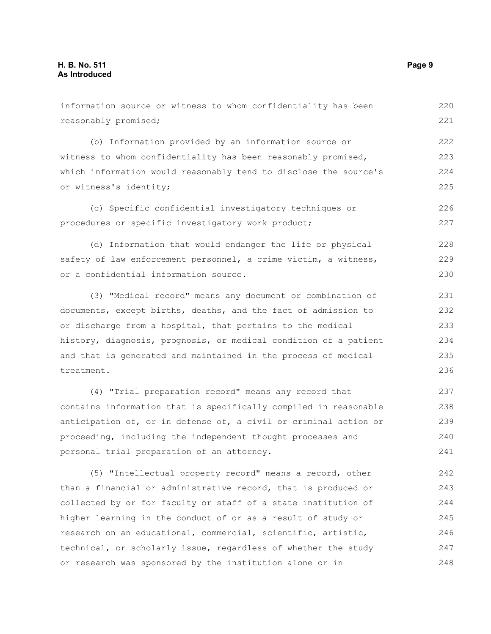reasonably promised; (b) Information provided by an information source or witness to whom confidentiality has been reasonably promised, which information would reasonably tend to disclose the source's or witness's identity; (c) Specific confidential investigatory techniques or procedures or specific investigatory work product; (d) Information that would endanger the life or physical safety of law enforcement personnel, a crime victim, a witness, or a confidential information source. (3) "Medical record" means any document or combination of documents, except births, deaths, and the fact of admission to or discharge from a hospital, that pertains to the medical history, diagnosis, prognosis, or medical condition of a patient and that is generated and maintained in the process of medical treatment. (4) "Trial preparation record" means any record that contains information that is specifically compiled in reasonable anticipation of, or in defense of, a civil or criminal action or proceeding, including the independent thought processes and personal trial preparation of an attorney. (5) "Intellectual property record" means a record, other than a financial or administrative record, that is produced or collected by or for faculty or staff of a state institution of higher learning in the conduct of or as a result of study or 221 222 223 224 225 226 227 228 229 230 231 232 233 234 235 236 237 238 239 240 241 242 243 244 245

information source or witness to whom confidentiality has been

research on an educational, commercial, scientific, artistic, technical, or scholarly issue, regardless of whether the study or research was sponsored by the institution alone or in 246 247 248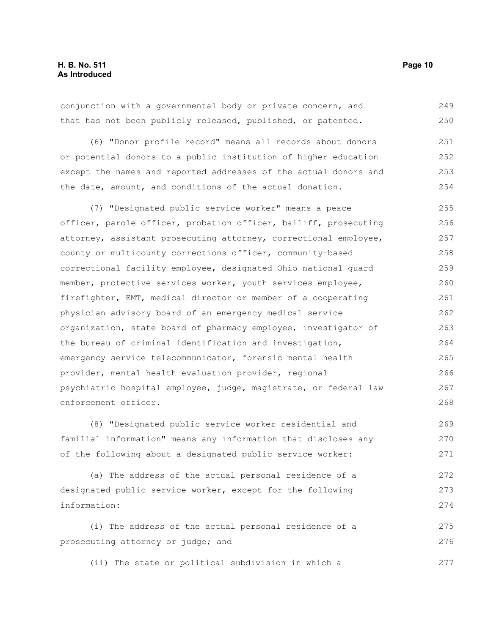conjunction with a governmental body or private concern, and that has not been publicly released, published, or patented. 249 250

(6) "Donor profile record" means all records about donors or potential donors to a public institution of higher education except the names and reported addresses of the actual donors and the date, amount, and conditions of the actual donation. 251 252 253 254

(7) "Designated public service worker" means a peace officer, parole officer, probation officer, bailiff, prosecuting attorney, assistant prosecuting attorney, correctional employee, county or multicounty corrections officer, community-based correctional facility employee, designated Ohio national guard member, protective services worker, youth services employee, firefighter, EMT, medical director or member of a cooperating physician advisory board of an emergency medical service organization, state board of pharmacy employee, investigator of the bureau of criminal identification and investigation, emergency service telecommunicator, forensic mental health provider, mental health evaluation provider, regional psychiatric hospital employee, judge, magistrate, or federal law enforcement officer. 255 256 257 258 259 260 261 262 263 264 265 266 267 268

(8) "Designated public service worker residential and familial information" means any information that discloses any of the following about a designated public service worker:

(a) The address of the actual personal residence of a designated public service worker, except for the following information: 272 273 274

(i) The address of the actual personal residence of a prosecuting attorney or judge; and 275 276

(ii) The state or political subdivision in which a 277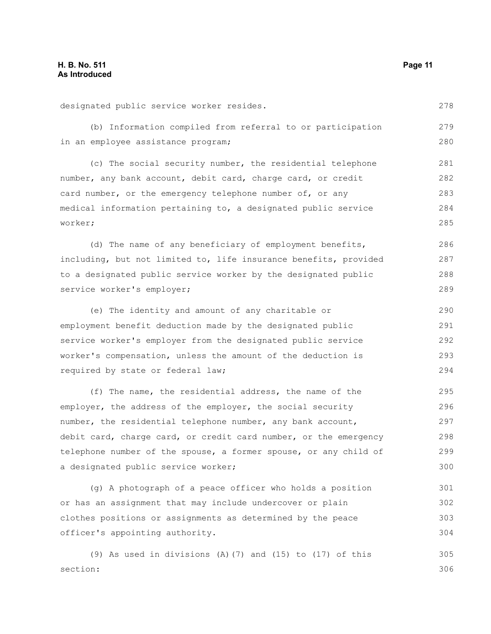| designated public service worker resides.                        | 278 |
|------------------------------------------------------------------|-----|
| (b) Information compiled from referral to or participation       | 279 |
| in an employee assistance program;                               | 280 |
| (c) The social security number, the residential telephone        | 281 |
| number, any bank account, debit card, charge card, or credit     | 282 |
| card number, or the emergency telephone number of, or any        | 283 |
| medical information pertaining to, a designated public service   | 284 |
| worker;                                                          | 285 |
| (d) The name of any beneficiary of employment benefits,          | 286 |
| including, but not limited to, life insurance benefits, provided | 287 |
| to a designated public service worker by the designated public   | 288 |
| service worker's employer;                                       | 289 |
| (e) The identity and amount of any charitable or                 | 290 |
| employment benefit deduction made by the designated public       | 291 |
| service worker's employer from the designated public service     | 292 |
| worker's compensation, unless the amount of the deduction is     | 293 |
| required by state or federal law;                                | 294 |
| (f) The name, the residential address, the name of the           | 295 |
| employer, the address of the employer, the social security       | 296 |
| number, the residential telephone number, any bank account,      | 297 |
| debit card, charge card, or credit card number, or the emergency | 298 |
| telephone number of the spouse, a former spouse, or any child of | 299 |
| a designated public service worker;                              | 300 |
| (g) A photograph of a peace officer who holds a position         | 301 |
| or has an assignment that may include undercover or plain        | 302 |
| clothes positions or assignments as determined by the peace      | 303 |
| officer's appointing authority.                                  | 304 |

(9) As used in divisions (A)(7) and (15) to (17) of this section: 305 306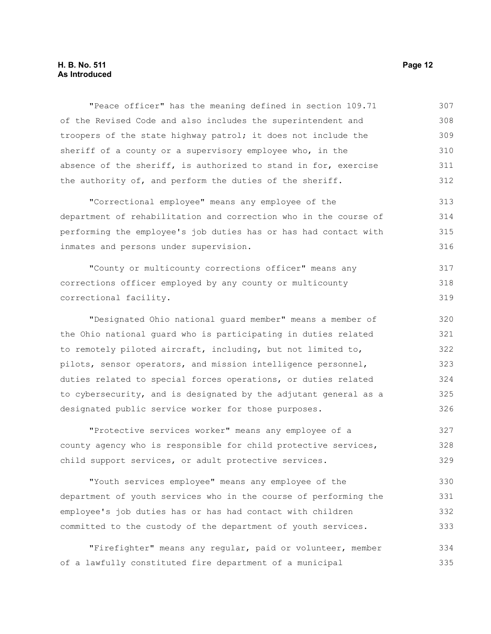#### **H. B. No. 511 Page 12 As Introduced**

"Peace officer" has the meaning defined in section 109.71 of the Revised Code and also includes the superintendent and troopers of the state highway patrol; it does not include the sheriff of a county or a supervisory employee who, in the absence of the sheriff, is authorized to stand in for, exercise the authority of, and perform the duties of the sheriff. 307 308 309 310 311 312

"Correctional employee" means any employee of the department of rehabilitation and correction who in the course of performing the employee's job duties has or has had contact with inmates and persons under supervision. 313 314 315 316

"County or multicounty corrections officer" means any corrections officer employed by any county or multicounty correctional facility. 317 318 319

"Designated Ohio national guard member" means a member of the Ohio national guard who is participating in duties related to remotely piloted aircraft, including, but not limited to, pilots, sensor operators, and mission intelligence personnel, duties related to special forces operations, or duties related to cybersecurity, and is designated by the adjutant general as a designated public service worker for those purposes. 320 321 322 323 324 325 326

"Protective services worker" means any employee of a county agency who is responsible for child protective services, child support services, or adult protective services. 327 328 329

"Youth services employee" means any employee of the department of youth services who in the course of performing the employee's job duties has or has had contact with children committed to the custody of the department of youth services. 330 331 332 333

"Firefighter" means any regular, paid or volunteer, member of a lawfully constituted fire department of a municipal 334 335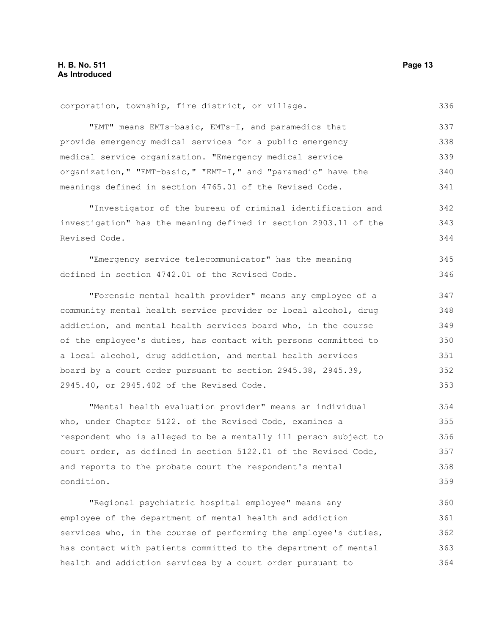corporation, township, fire district, or village.

"EMT" means EMTs-basic, EMTs-I, and paramedics that provide emergency medical services for a public emergency medical service organization. "Emergency medical service organization," "EMT-basic," "EMT-I," and "paramedic" have the meanings defined in section 4765.01 of the Revised Code. 337 338 339 340 341

"Investigator of the bureau of criminal identification and investigation" has the meaning defined in section 2903.11 of the Revised Code. 342 343 344

"Emergency service telecommunicator" has the meaning defined in section 4742.01 of the Revised Code. 345 346

"Forensic mental health provider" means any employee of a community mental health service provider or local alcohol, drug addiction, and mental health services board who, in the course of the employee's duties, has contact with persons committed to a local alcohol, drug addiction, and mental health services board by a court order pursuant to section 2945.38, 2945.39, 2945.40, or 2945.402 of the Revised Code. 347 348 349 350 351 352 353

"Mental health evaluation provider" means an individual who, under Chapter 5122. of the Revised Code, examines a respondent who is alleged to be a mentally ill person subject to court order, as defined in section 5122.01 of the Revised Code, and reports to the probate court the respondent's mental condition. 354 355 356 357 358 359

"Regional psychiatric hospital employee" means any employee of the department of mental health and addiction services who, in the course of performing the employee's duties, has contact with patients committed to the department of mental health and addiction services by a court order pursuant to 360 361 362 363 364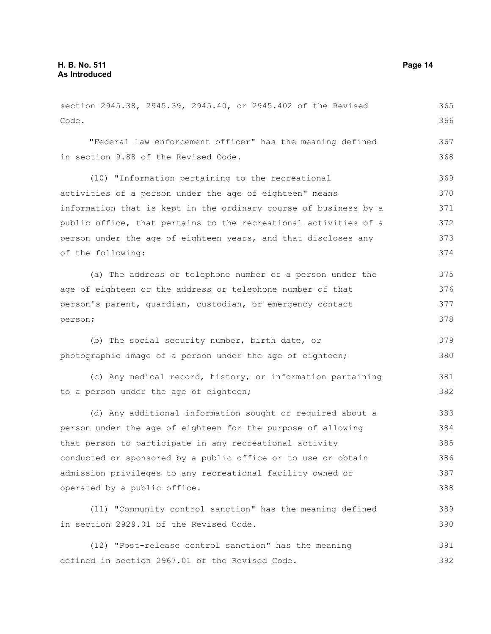section 2945.38, 2945.39, 2945.40, or 2945.402 of the Revised Code. "Federal law enforcement officer" has the meaning defined in section 9.88 of the Revised Code. (10) "Information pertaining to the recreational activities of a person under the age of eighteen" means information that is kept in the ordinary course of business by a public office, that pertains to the recreational activities of a person under the age of eighteen years, and that discloses any of the following: (a) The address or telephone number of a person under the age of eighteen or the address or telephone number of that person's parent, guardian, custodian, or emergency contact person; (b) The social security number, birth date, or photographic image of a person under the age of eighteen; (c) Any medical record, history, or information pertaining to a person under the age of eighteen; (d) Any additional information sought or required about a person under the age of eighteen for the purpose of allowing that person to participate in any recreational activity conducted or sponsored by a public office or to use or obtain admission privileges to any recreational facility owned or operated by a public office. (11) "Community control sanction" has the meaning defined in section 2929.01 of the Revised Code. (12) "Post-release control sanction" has the meaning defined in section 2967.01 of the Revised Code. 365 366 367 368 369 370 371 372 373 374 375 376 377 378 379 380 381 382 383 384 385 386 387 388 389 390 391 392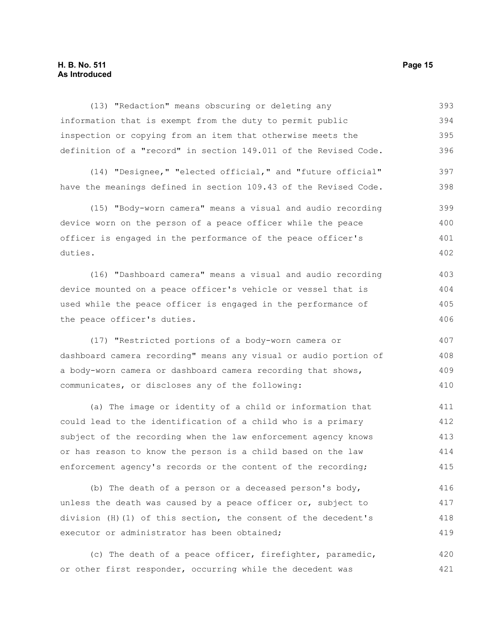#### **H. B. No. 511 Page 15 As Introduced**

(13) "Redaction" means obscuring or deleting any information that is exempt from the duty to permit public inspection or copying from an item that otherwise meets the definition of a "record" in section 149.011 of the Revised Code. 393 394 395 396

(14) "Designee," "elected official," and "future official" have the meanings defined in section 109.43 of the Revised Code. 397 398

(15) "Body-worn camera" means a visual and audio recording device worn on the person of a peace officer while the peace officer is engaged in the performance of the peace officer's duties. 399 400 401 402

(16) "Dashboard camera" means a visual and audio recording device mounted on a peace officer's vehicle or vessel that is used while the peace officer is engaged in the performance of the peace officer's duties. 403 404 405 406

(17) "Restricted portions of a body-worn camera or dashboard camera recording" means any visual or audio portion of a body-worn camera or dashboard camera recording that shows, communicates, or discloses any of the following: 407 408 409 410

(a) The image or identity of a child or information that could lead to the identification of a child who is a primary subject of the recording when the law enforcement agency knows or has reason to know the person is a child based on the law enforcement agency's records or the content of the recording; 411 412 413 414 415

(b) The death of a person or a deceased person's body, unless the death was caused by a peace officer or, subject to division (H)(1) of this section, the consent of the decedent's executor or administrator has been obtained; 416 417 418 419

(c) The death of a peace officer, firefighter, paramedic, or other first responder, occurring while the decedent was 420 421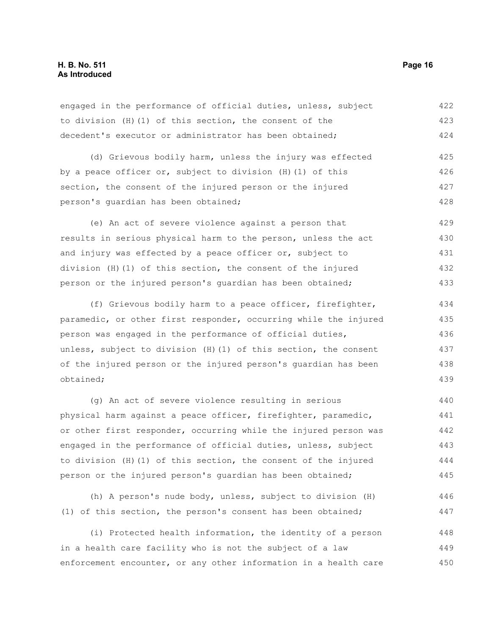engaged in the performance of official duties, unless, subject to division (H)(1) of this section, the consent of the decedent's executor or administrator has been obtained; (d) Grievous bodily harm, unless the injury was effected by a peace officer or, subject to division (H)(1) of this section, the consent of the injured person or the injured person's guardian has been obtained; (e) An act of severe violence against a person that results in serious physical harm to the person, unless the act and injury was effected by a peace officer or, subject to division (H)(1) of this section, the consent of the injured person or the injured person's guardian has been obtained; (f) Grievous bodily harm to a peace officer, firefighter, paramedic, or other first responder, occurring while the injured person was engaged in the performance of official duties, unless, subject to division (H)(1) of this section, the consent of the injured person or the injured person's guardian has been obtained; 422 423 424 425 426 427 428 429 430 431 432 433 434 435 436 437 438 439

(g) An act of severe violence resulting in serious physical harm against a peace officer, firefighter, paramedic, or other first responder, occurring while the injured person was engaged in the performance of official duties, unless, subject to division (H)(1) of this section, the consent of the injured person or the injured person's guardian has been obtained; 440 441 442 443 444 445

(h) A person's nude body, unless, subject to division (H) (1) of this section, the person's consent has been obtained; 446 447

(i) Protected health information, the identity of a person in a health care facility who is not the subject of a law enforcement encounter, or any other information in a health care 448 449 450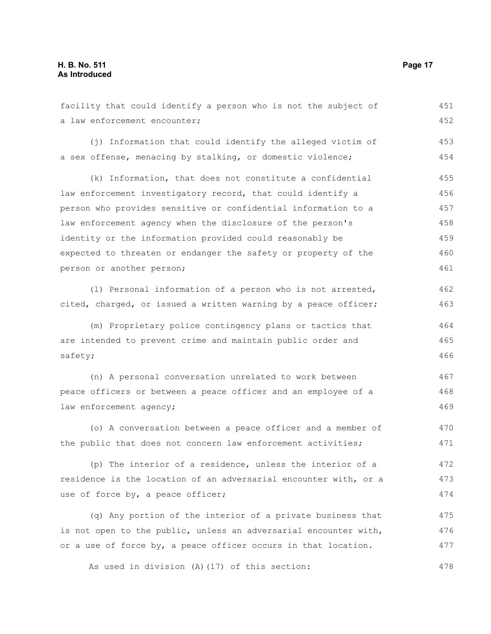facility that could identify a person who is not the subject of a law enforcement encounter; (j) Information that could identify the alleged victim of a sex offense, menacing by stalking, or domestic violence; (k) Information, that does not constitute a confidential law enforcement investigatory record, that could identify a person who provides sensitive or confidential information to a law enforcement agency when the disclosure of the person's identity or the information provided could reasonably be expected to threaten or endanger the safety or property of the person or another person; (l) Personal information of a person who is not arrested, cited, charged, or issued a written warning by a peace officer; (m) Proprietary police contingency plans or tactics that are intended to prevent crime and maintain public order and safety; (n) A personal conversation unrelated to work between peace officers or between a peace officer and an employee of a law enforcement agency; (o) A conversation between a peace officer and a member of the public that does not concern law enforcement activities; (p) The interior of a residence, unless the interior of a residence is the location of an adversarial encounter with, or a use of force by, a peace officer; (q) Any portion of the interior of a private business that 451 452 453 454 455 456 457 458 459 460 461 462 463 464 465 466 467 468 469 470 471 472 473 474 475

As used in division (A)(17) of this section: 478

is not open to the public, unless an adversarial encounter with, or a use of force by, a peace officer occurs in that location.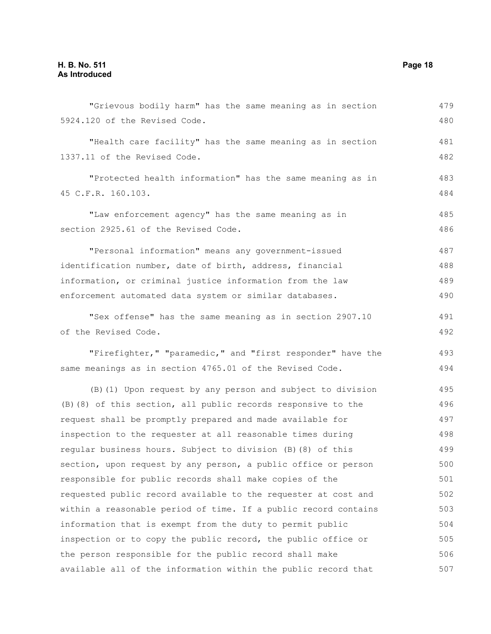| "Grievous bodily harm" has the same meaning as in section       | 479 |
|-----------------------------------------------------------------|-----|
| 5924.120 of the Revised Code.                                   | 480 |
| "Health care facility" has the same meaning as in section       | 481 |
| 1337.11 of the Revised Code.                                    | 482 |
| "Protected health information" has the same meaning as in       | 483 |
| 45 C.F.R. 160.103.                                              | 484 |
| "Law enforcement agency" has the same meaning as in             | 485 |
| section 2925.61 of the Revised Code.                            | 486 |
| "Personal information" means any government-issued              | 487 |
| identification number, date of birth, address, financial        | 488 |
| information, or criminal justice information from the law       | 489 |
| enforcement automated data system or similar databases.         | 490 |
| "Sex offense" has the same meaning as in section 2907.10        | 491 |
| of the Revised Code.                                            | 492 |
| "Firefighter," "paramedic," and "first responder" have the      | 493 |
| same meanings as in section 4765.01 of the Revised Code.        | 494 |
| (B) (1) Upon request by any person and subject to division      | 495 |
| (B) (8) of this section, all public records responsive to the   | 496 |
| request shall be promptly prepared and made available for       | 497 |
| inspection to the requester at all reasonable times during      | 498 |
| regular business hours. Subject to division (B) (8) of this     | 499 |
| section, upon request by any person, a public office or person  | 500 |
| responsible for public records shall make copies of the         | 501 |
| requested public record available to the requester at cost and  | 502 |
| within a reasonable period of time. If a public record contains | 503 |
| information that is exempt from the duty to permit public       | 504 |
| inspection or to copy the public record, the public office or   | 505 |
| the person responsible for the public record shall make         | 506 |
| available all of the information within the public record that  | 507 |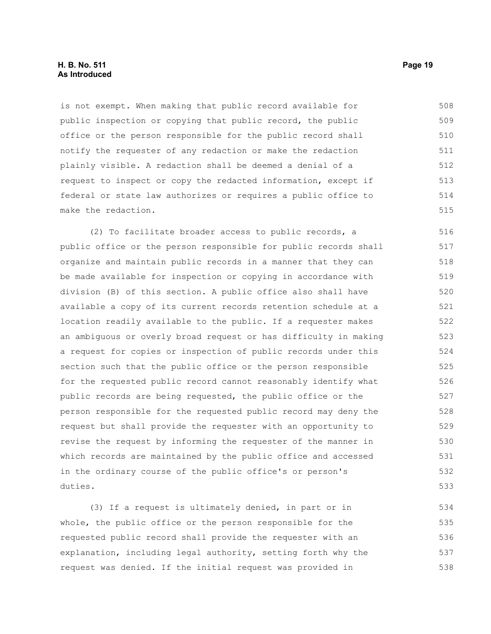#### **H. B. No. 511 Page 19 As Introduced**

is not exempt. When making that public record available for public inspection or copying that public record, the public office or the person responsible for the public record shall notify the requester of any redaction or make the redaction plainly visible. A redaction shall be deemed a denial of a request to inspect or copy the redacted information, except if federal or state law authorizes or requires a public office to make the redaction. 508 509 510 511 512 513 514 515

(2) To facilitate broader access to public records, a public office or the person responsible for public records shall organize and maintain public records in a manner that they can be made available for inspection or copying in accordance with division (B) of this section. A public office also shall have available a copy of its current records retention schedule at a location readily available to the public. If a requester makes an ambiguous or overly broad request or has difficulty in making a request for copies or inspection of public records under this section such that the public office or the person responsible for the requested public record cannot reasonably identify what public records are being requested, the public office or the person responsible for the requested public record may deny the request but shall provide the requester with an opportunity to revise the request by informing the requester of the manner in which records are maintained by the public office and accessed in the ordinary course of the public office's or person's duties. 516 517 518 519 520 521 522 523 524 525 526 527 528 529 530 531 532 533

(3) If a request is ultimately denied, in part or in whole, the public office or the person responsible for the requested public record shall provide the requester with an explanation, including legal authority, setting forth why the request was denied. If the initial request was provided in 534 535 536 537 538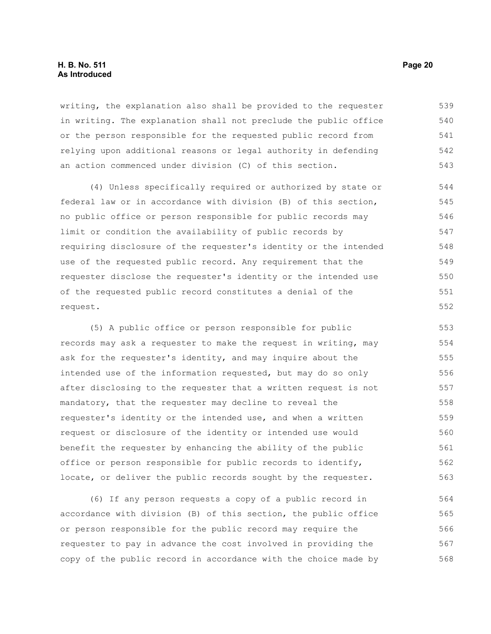#### **H. B. No. 511 Page 20 As Introduced**

writing, the explanation also shall be provided to the requester in writing. The explanation shall not preclude the public office or the person responsible for the requested public record from relying upon additional reasons or legal authority in defending an action commenced under division (C) of this section. 539 540 541 542 543

(4) Unless specifically required or authorized by state or federal law or in accordance with division (B) of this section, no public office or person responsible for public records may limit or condition the availability of public records by requiring disclosure of the requester's identity or the intended use of the requested public record. Any requirement that the requester disclose the requester's identity or the intended use of the requested public record constitutes a denial of the request. 544 545 546 547 548 549 550 551 552

(5) A public office or person responsible for public records may ask a requester to make the request in writing, may ask for the requester's identity, and may inquire about the intended use of the information requested, but may do so only after disclosing to the requester that a written request is not mandatory, that the requester may decline to reveal the requester's identity or the intended use, and when a written request or disclosure of the identity or intended use would benefit the requester by enhancing the ability of the public office or person responsible for public records to identify, locate, or deliver the public records sought by the requester. 553 554 555 556 557 558 559 560 561 562 563

(6) If any person requests a copy of a public record in accordance with division (B) of this section, the public office or person responsible for the public record may require the requester to pay in advance the cost involved in providing the copy of the public record in accordance with the choice made by 564 565 566 567 568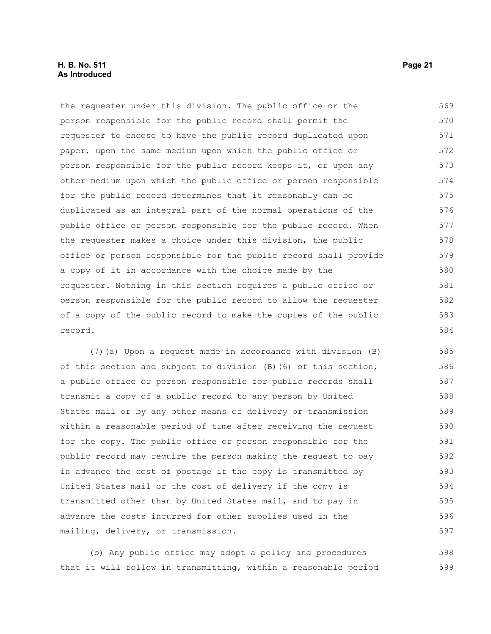#### **H. B. No. 511 Page 21 As Introduced**

the requester under this division. The public office or the person responsible for the public record shall permit the requester to choose to have the public record duplicated upon paper, upon the same medium upon which the public office or person responsible for the public record keeps it, or upon any other medium upon which the public office or person responsible for the public record determines that it reasonably can be duplicated as an integral part of the normal operations of the public office or person responsible for the public record. When the requester makes a choice under this division, the public office or person responsible for the public record shall provide a copy of it in accordance with the choice made by the requester. Nothing in this section requires a public office or person responsible for the public record to allow the requester of a copy of the public record to make the copies of the public record. 569 570 571 572 573 574 575 576 577 578 579 580 581 582 583 584

(7)(a) Upon a request made in accordance with division (B) of this section and subject to division (B)(6) of this section, a public office or person responsible for public records shall transmit a copy of a public record to any person by United States mail or by any other means of delivery or transmission within a reasonable period of time after receiving the request for the copy. The public office or person responsible for the public record may require the person making the request to pay in advance the cost of postage if the copy is transmitted by United States mail or the cost of delivery if the copy is transmitted other than by United States mail, and to pay in advance the costs incurred for other supplies used in the mailing, delivery, or transmission. 585 586 587 588 589 590 591 592 593 594 595 596 597

(b) Any public office may adopt a policy and procedures that it will follow in transmitting, within a reasonable period 598 599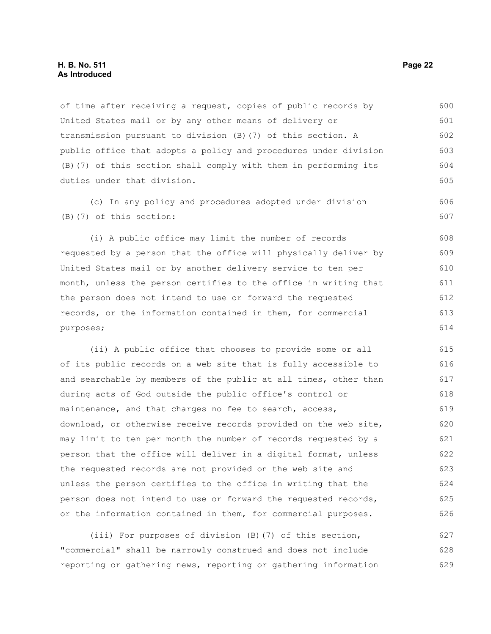of time after receiving a request, copies of public records by United States mail or by any other means of delivery or transmission pursuant to division (B)(7) of this section. A public office that adopts a policy and procedures under division (B)(7) of this section shall comply with them in performing its duties under that division. 600 601 602 603 604 605

(c) In any policy and procedures adopted under division (B)(7) of this section:

(i) A public office may limit the number of records requested by a person that the office will physically deliver by United States mail or by another delivery service to ten per month, unless the person certifies to the office in writing that the person does not intend to use or forward the requested records, or the information contained in them, for commercial purposes; 608 609 610 611 612 613 614

(ii) A public office that chooses to provide some or all of its public records on a web site that is fully accessible to and searchable by members of the public at all times, other than during acts of God outside the public office's control or maintenance, and that charges no fee to search, access, download, or otherwise receive records provided on the web site, may limit to ten per month the number of records requested by a person that the office will deliver in a digital format, unless the requested records are not provided on the web site and unless the person certifies to the office in writing that the person does not intend to use or forward the requested records, or the information contained in them, for commercial purposes. 615 616 617 618 619 620 621 622 623 624 625 626

(iii) For purposes of division (B)(7) of this section, "commercial" shall be narrowly construed and does not include reporting or gathering news, reporting or gathering information 627 628 629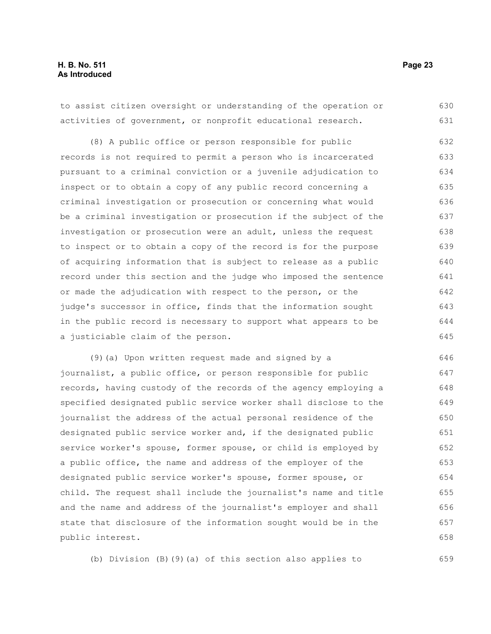to assist citizen oversight or understanding of the operation or activities of government, or nonprofit educational research. 630 631

(8) A public office or person responsible for public records is not required to permit a person who is incarcerated pursuant to a criminal conviction or a juvenile adjudication to inspect or to obtain a copy of any public record concerning a criminal investigation or prosecution or concerning what would be a criminal investigation or prosecution if the subject of the investigation or prosecution were an adult, unless the request to inspect or to obtain a copy of the record is for the purpose of acquiring information that is subject to release as a public record under this section and the judge who imposed the sentence or made the adjudication with respect to the person, or the judge's successor in office, finds that the information sought in the public record is necessary to support what appears to be a justiciable claim of the person. 632 633 634 635 636 637 638 639 640 641 642 643 644 645

(9)(a) Upon written request made and signed by a journalist, a public office, or person responsible for public records, having custody of the records of the agency employing a specified designated public service worker shall disclose to the journalist the address of the actual personal residence of the designated public service worker and, if the designated public service worker's spouse, former spouse, or child is employed by a public office, the name and address of the employer of the designated public service worker's spouse, former spouse, or child. The request shall include the journalist's name and title and the name and address of the journalist's employer and shall state that disclosure of the information sought would be in the public interest. 646 647 648 649 650 651 652 653 654 655 656 657 658

(b) Division (B)(9)(a) of this section also applies to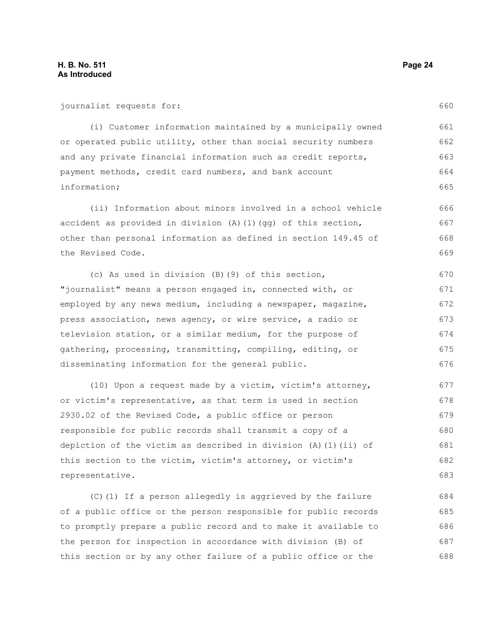journalist requests for:

(i) Customer information maintained by a municipally owned or operated public utility, other than social security numbers and any private financial information such as credit reports, payment methods, credit card numbers, and bank account information; 661 662 663 664 665

(ii) Information about minors involved in a school vehicle accident as provided in division (A)(1)(gg) of this section, other than personal information as defined in section 149.45 of the Revised Code. 666 667 668 669

(c) As used in division (B)(9) of this section, "journalist" means a person engaged in, connected with, or employed by any news medium, including a newspaper, magazine, press association, news agency, or wire service, a radio or television station, or a similar medium, for the purpose of gathering, processing, transmitting, compiling, editing, or disseminating information for the general public. 670 671 672 673 674 675 676

(10) Upon a request made by a victim, victim's attorney, or victim's representative, as that term is used in section 2930.02 of the Revised Code, a public office or person responsible for public records shall transmit a copy of a depiction of the victim as described in division (A)(1)(ii) of this section to the victim, victim's attorney, or victim's representative. 677 678 679 680 681 682 683

(C)(1) If a person allegedly is aggrieved by the failure of a public office or the person responsible for public records to promptly prepare a public record and to make it available to the person for inspection in accordance with division (B) of this section or by any other failure of a public office or the 684 685 686 687 688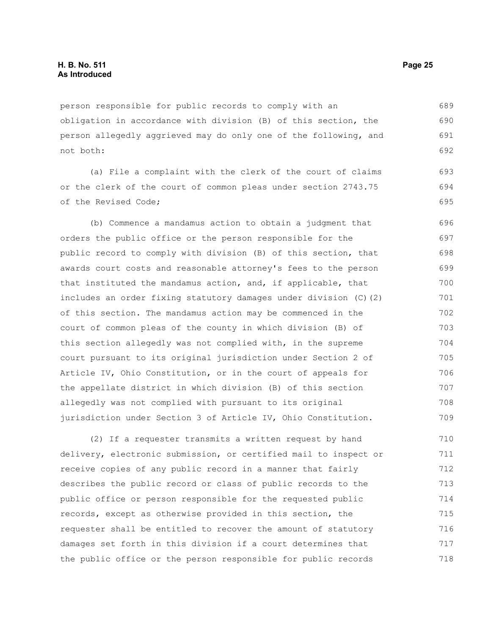person responsible for public records to comply with an obligation in accordance with division (B) of this section, the person allegedly aggrieved may do only one of the following, and not both: 689 690 691 692

(a) File a complaint with the clerk of the court of claims or the clerk of the court of common pleas under section 2743.75 of the Revised Code;

(b) Commence a mandamus action to obtain a judgment that orders the public office or the person responsible for the public record to comply with division (B) of this section, that awards court costs and reasonable attorney's fees to the person that instituted the mandamus action, and, if applicable, that includes an order fixing statutory damages under division (C)(2) of this section. The mandamus action may be commenced in the court of common pleas of the county in which division (B) of this section allegedly was not complied with, in the supreme court pursuant to its original jurisdiction under Section 2 of Article IV, Ohio Constitution, or in the court of appeals for the appellate district in which division (B) of this section allegedly was not complied with pursuant to its original jurisdiction under Section 3 of Article IV, Ohio Constitution. 696 697 698 699 700 701 702 703 704 705 706 707 708 709

(2) If a requester transmits a written request by hand delivery, electronic submission, or certified mail to inspect or receive copies of any public record in a manner that fairly describes the public record or class of public records to the public office or person responsible for the requested public records, except as otherwise provided in this section, the requester shall be entitled to recover the amount of statutory damages set forth in this division if a court determines that the public office or the person responsible for public records 710 711 712 713 714 715 716 717 718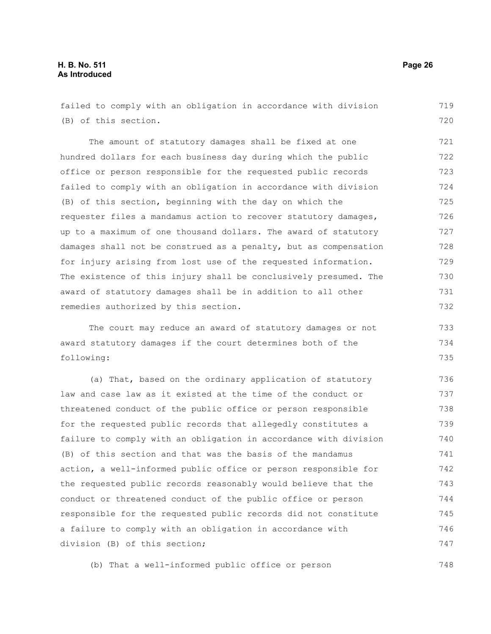failed to comply with an obligation in accordance with division (B) of this section. The amount of statutory damages shall be fixed at one hundred dollars for each business day during which the public office or person responsible for the requested public records failed to comply with an obligation in accordance with division (B) of this section, beginning with the day on which the requester files a mandamus action to recover statutory damages, up to a maximum of one thousand dollars. The award of statutory damages shall not be construed as a penalty, but as compensation for injury arising from lost use of the requested information. The existence of this injury shall be conclusively presumed. The award of statutory damages shall be in addition to all other remedies authorized by this section. The court may reduce an award of statutory damages or not award statutory damages if the court determines both of the following: (a) That, based on the ordinary application of statutory law and case law as it existed at the time of the conduct or threatened conduct of the public office or person responsible for the requested public records that allegedly constitutes a failure to comply with an obligation in accordance with division (B) of this section and that was the basis of the mandamus action, a well-informed public office or person responsible for the requested public records reasonably would believe that the conduct or threatened conduct of the public office or person responsible for the requested public records did not constitute a failure to comply with an obligation in accordance with 719 720 721 722 723 724 725 726 727 728 729 730 731 732 733 734 735 736 737 738 739 740 741 742 743 744 745 746

division (B) of this section;

(b) That a well-informed public office or person

748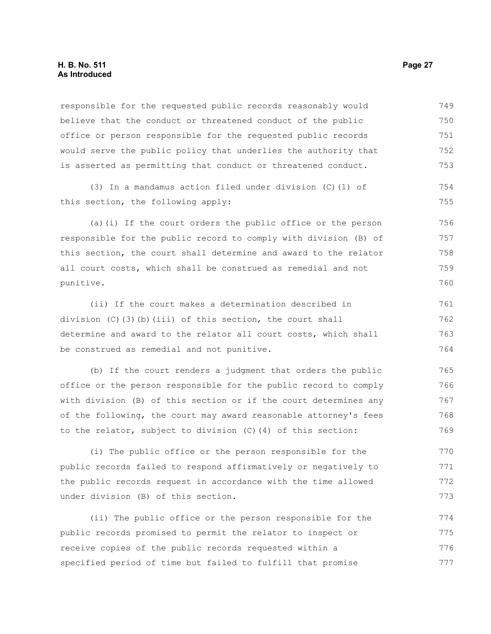responsible for the requested public records reasonably would believe that the conduct or threatened conduct of the public office or person responsible for the requested public records would serve the public policy that underlies the authority that is asserted as permitting that conduct or threatened conduct. 749 750 751 752 753

(3) In a mandamus action filed under division (C)(1) of this section, the following apply:

(a)(i) If the court orders the public office or the person responsible for the public record to comply with division (B) of this section, the court shall determine and award to the relator all court costs, which shall be construed as remedial and not punitive. 756 757 758 759 760

(ii) If the court makes a determination described in division (C)(3)(b)(iii) of this section, the court shall determine and award to the relator all court costs, which shall be construed as remedial and not punitive. 761 762 763 764

(b) If the court renders a judgment that orders the public office or the person responsible for the public record to comply with division (B) of this section or if the court determines any of the following, the court may award reasonable attorney's fees to the relator, subject to division (C)(4) of this section: 765 766 767 768 769

(i) The public office or the person responsible for the public records failed to respond affirmatively or negatively to the public records request in accordance with the time allowed under division (B) of this section. 770 771 772 773

(ii) The public office or the person responsible for the public records promised to permit the relator to inspect or receive copies of the public records requested within a specified period of time but failed to fulfill that promise 774 775 776 777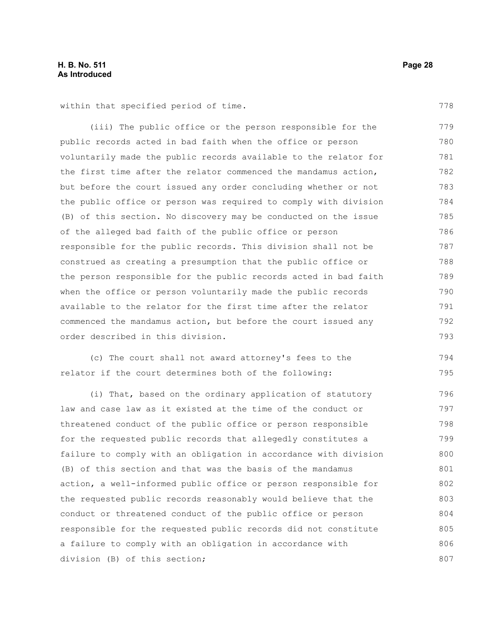within that specified period of time.

(iii) The public office or the person responsible for the public records acted in bad faith when the office or person voluntarily made the public records available to the relator for the first time after the relator commenced the mandamus action, but before the court issued any order concluding whether or not the public office or person was required to comply with division (B) of this section. No discovery may be conducted on the issue of the alleged bad faith of the public office or person responsible for the public records. This division shall not be construed as creating a presumption that the public office or the person responsible for the public records acted in bad faith when the office or person voluntarily made the public records available to the relator for the first time after the relator commenced the mandamus action, but before the court issued any order described in this division. 779 780 781 782 783 784 785 786 787 788 789 790 791 792 793

(c) The court shall not award attorney's fees to the relator if the court determines both of the following: 794 795

(i) That, based on the ordinary application of statutory law and case law as it existed at the time of the conduct or threatened conduct of the public office or person responsible for the requested public records that allegedly constitutes a failure to comply with an obligation in accordance with division (B) of this section and that was the basis of the mandamus action, a well-informed public office or person responsible for the requested public records reasonably would believe that the conduct or threatened conduct of the public office or person responsible for the requested public records did not constitute a failure to comply with an obligation in accordance with division (B) of this section; 796 797 798 799 800 801 802 803 804 805 806 807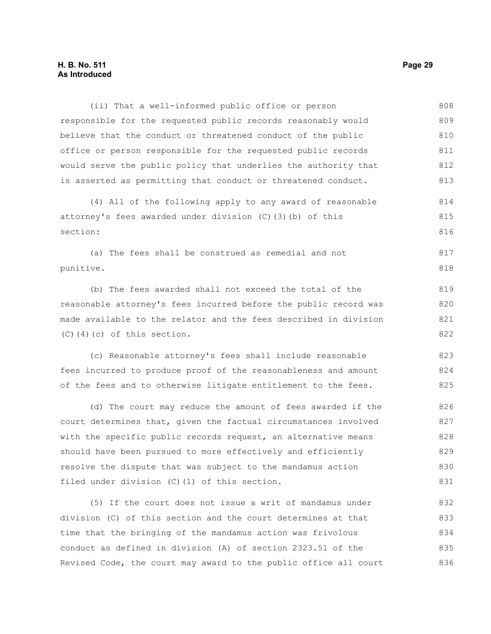#### **H. B. No. 511 Page 29 As Introduced**

(ii) That a well-informed public office or person responsible for the requested public records reasonably would believe that the conduct or threatened conduct of the public office or person responsible for the requested public records would serve the public policy that underlies the authority that is asserted as permitting that conduct or threatened conduct. 808 809 810 811 812 813

(4) All of the following apply to any award of reasonable attorney's fees awarded under division (C)(3)(b) of this section: 814 815 816

(a) The fees shall be construed as remedial and not punitive. 817 818

(b) The fees awarded shall not exceed the total of the reasonable attorney's fees incurred before the public record was made available to the relator and the fees described in division (C)(4)(c) of this section. 819 820 821

(c) Reasonable attorney's fees shall include reasonable fees incurred to produce proof of the reasonableness and amount of the fees and to otherwise litigate entitlement to the fees. 823 824 825

(d) The court may reduce the amount of fees awarded if the court determines that, given the factual circumstances involved with the specific public records request, an alternative means should have been pursued to more effectively and efficiently resolve the dispute that was subject to the mandamus action filed under division (C)(1) of this section. 826 827 828 829 830 831

(5) If the court does not issue a writ of mandamus under division (C) of this section and the court determines at that time that the bringing of the mandamus action was frivolous conduct as defined in division (A) of section 2323.51 of the Revised Code, the court may award to the public office all court 832 833 834 835 836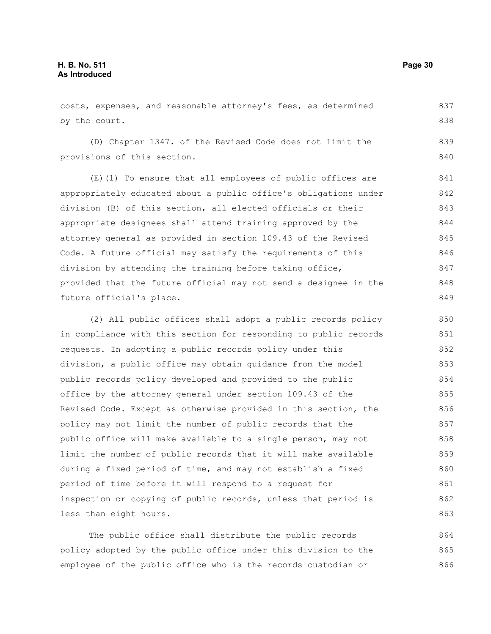costs, expenses, and reasonable attorney's fees, as determined by the court. 837 838

(D) Chapter 1347. of the Revised Code does not limit the provisions of this section. 839

(E)(1) To ensure that all employees of public offices are appropriately educated about a public office's obligations under division (B) of this section, all elected officials or their appropriate designees shall attend training approved by the attorney general as provided in section 109.43 of the Revised Code. A future official may satisfy the requirements of this division by attending the training before taking office, provided that the future official may not send a designee in the future official's place. 841 842 843 844 845 846 847 848 849

(2) All public offices shall adopt a public records policy in compliance with this section for responding to public records requests. In adopting a public records policy under this division, a public office may obtain guidance from the model public records policy developed and provided to the public office by the attorney general under section 109.43 of the Revised Code. Except as otherwise provided in this section, the policy may not limit the number of public records that the public office will make available to a single person, may not limit the number of public records that it will make available during a fixed period of time, and may not establish a fixed period of time before it will respond to a request for inspection or copying of public records, unless that period is less than eight hours. 850 851 852 853 854 855 856 857 858 859 860 861 862 863

The public office shall distribute the public records policy adopted by the public office under this division to the employee of the public office who is the records custodian or 864 865 866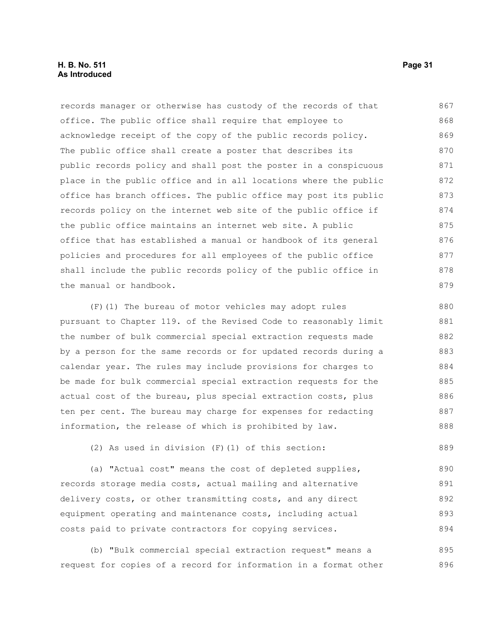#### **H. B. No. 511 Page 31 As Introduced**

records manager or otherwise has custody of the records of that office. The public office shall require that employee to acknowledge receipt of the copy of the public records policy. The public office shall create a poster that describes its public records policy and shall post the poster in a conspicuous place in the public office and in all locations where the public office has branch offices. The public office may post its public records policy on the internet web site of the public office if the public office maintains an internet web site. A public office that has established a manual or handbook of its general policies and procedures for all employees of the public office shall include the public records policy of the public office in the manual or handbook. 867 868 869 870 871 872 873 874 875 876 877 878 879

(F)(1) The bureau of motor vehicles may adopt rules pursuant to Chapter 119. of the Revised Code to reasonably limit the number of bulk commercial special extraction requests made by a person for the same records or for updated records during a calendar year. The rules may include provisions for charges to be made for bulk commercial special extraction requests for the actual cost of the bureau, plus special extraction costs, plus ten per cent. The bureau may charge for expenses for redacting information, the release of which is prohibited by law. 880 881 882 883 884 885 886 887 888

(2) As used in division (F)(1) of this section:

(a) "Actual cost" means the cost of depleted supplies, records storage media costs, actual mailing and alternative delivery costs, or other transmitting costs, and any direct equipment operating and maintenance costs, including actual costs paid to private contractors for copying services. 890 891 892 893 894

(b) "Bulk commercial special extraction request" means a request for copies of a record for information in a format other 895 896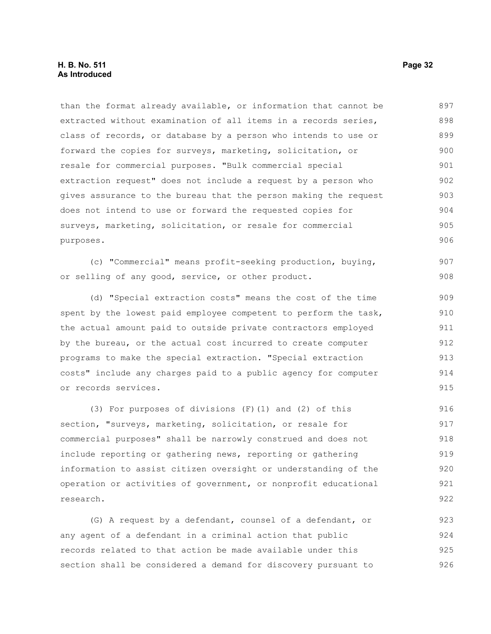#### **H. B. No. 511 Page 32 As Introduced**

than the format already available, or information that cannot be extracted without examination of all items in a records series, class of records, or database by a person who intends to use or forward the copies for surveys, marketing, solicitation, or resale for commercial purposes. "Bulk commercial special extraction request" does not include a request by a person who gives assurance to the bureau that the person making the request does not intend to use or forward the requested copies for surveys, marketing, solicitation, or resale for commercial purposes. 897 898 899 900 901 902 903 904 905 906

(c) "Commercial" means profit-seeking production, buying, or selling of any good, service, or other product. 907 908

(d) "Special extraction costs" means the cost of the time spent by the lowest paid employee competent to perform the task, the actual amount paid to outside private contractors employed by the bureau, or the actual cost incurred to create computer programs to make the special extraction. "Special extraction costs" include any charges paid to a public agency for computer or records services. 909 910 911 912 913 914 915

(3) For purposes of divisions (F)(1) and (2) of this section, "surveys, marketing, solicitation, or resale for commercial purposes" shall be narrowly construed and does not include reporting or gathering news, reporting or gathering information to assist citizen oversight or understanding of the operation or activities of government, or nonprofit educational research. 916 917 918 919 920 921 922

(G) A request by a defendant, counsel of a defendant, or any agent of a defendant in a criminal action that public records related to that action be made available under this section shall be considered a demand for discovery pursuant to 923 924 925 926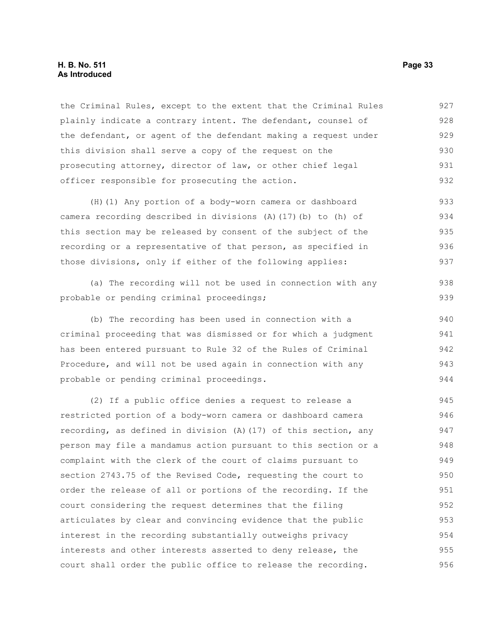#### **H. B. No. 511 Page 33 As Introduced**

the Criminal Rules, except to the extent that the Criminal Rules plainly indicate a contrary intent. The defendant, counsel of the defendant, or agent of the defendant making a request under this division shall serve a copy of the request on the prosecuting attorney, director of law, or other chief legal officer responsible for prosecuting the action. 927 928 929 930 931 932

(H)(1) Any portion of a body-worn camera or dashboard camera recording described in divisions (A)(17)(b) to (h) of this section may be released by consent of the subject of the recording or a representative of that person, as specified in those divisions, only if either of the following applies: 933 934 935 936 937

(a) The recording will not be used in connection with any probable or pending criminal proceedings;

(b) The recording has been used in connection with a criminal proceeding that was dismissed or for which a judgment has been entered pursuant to Rule 32 of the Rules of Criminal Procedure, and will not be used again in connection with any probable or pending criminal proceedings.

(2) If a public office denies a request to release a restricted portion of a body-worn camera or dashboard camera recording, as defined in division (A)(17) of this section, any person may file a mandamus action pursuant to this section or a complaint with the clerk of the court of claims pursuant to section 2743.75 of the Revised Code, requesting the court to order the release of all or portions of the recording. If the court considering the request determines that the filing articulates by clear and convincing evidence that the public interest in the recording substantially outweighs privacy interests and other interests asserted to deny release, the court shall order the public office to release the recording. 945 946 947 948 949 950 951 952 953 954 955 956

938 939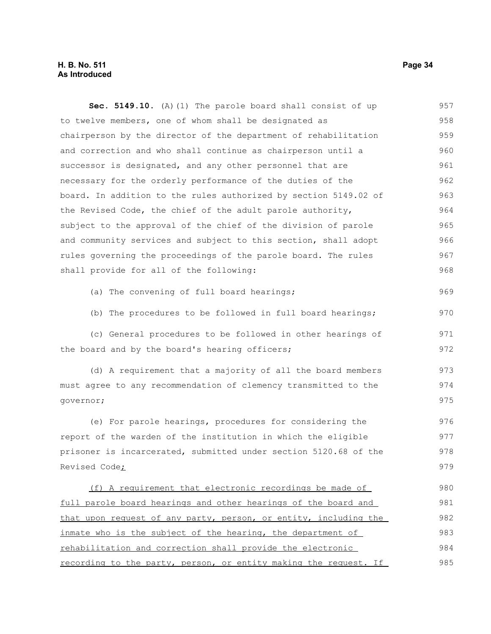### **H. B. No. 511 Page 34 As Introduced**

| Sec. 5149.10. (A) (1) The parole board shall consist of up       | 957 |
|------------------------------------------------------------------|-----|
| to twelve members, one of whom shall be designated as            | 958 |
| chairperson by the director of the department of rehabilitation  | 959 |
| and correction and who shall continue as chairperson until a     | 960 |
| successor is designated, and any other personnel that are        | 961 |
| necessary for the orderly performance of the duties of the       | 962 |
| board. In addition to the rules authorized by section 5149.02 of | 963 |
| the Revised Code, the chief of the adult parole authority,       | 964 |
| subject to the approval of the chief of the division of parole   | 965 |
| and community services and subject to this section, shall adopt  | 966 |
| rules governing the proceedings of the parole board. The rules   | 967 |
| shall provide for all of the following:                          | 968 |
| (a) The convening of full board hearings;                        | 969 |
| (b) The procedures to be followed in full board hearings;        | 970 |
| (c) General procedures to be followed in other hearings of       | 971 |
| the board and by the board's hearing officers;                   | 972 |
| (d) A requirement that a majority of all the board members       | 973 |
| must agree to any recommendation of clemency transmitted to the  | 974 |
| governor;                                                        | 975 |
| (e) For parole hearings, procedures for considering the          | 976 |
| report of the warden of the institution in which the eligible    | 977 |
| prisoner is incarcerated, submitted under section 5120.68 of the | 978 |
| Revised Code;                                                    | 979 |
| (f) A requirement that electronic recordings be made of          | 980 |
| full parole board hearings and other hearings of the board and   | 981 |
| that upon request of any party, person, or entity, including the | 982 |
| inmate who is the subject of the hearing, the department of      | 983 |
| rehabilitation and correction shall provide the electronic       | 984 |
| recording to the party, person, or entity making the request. If | 985 |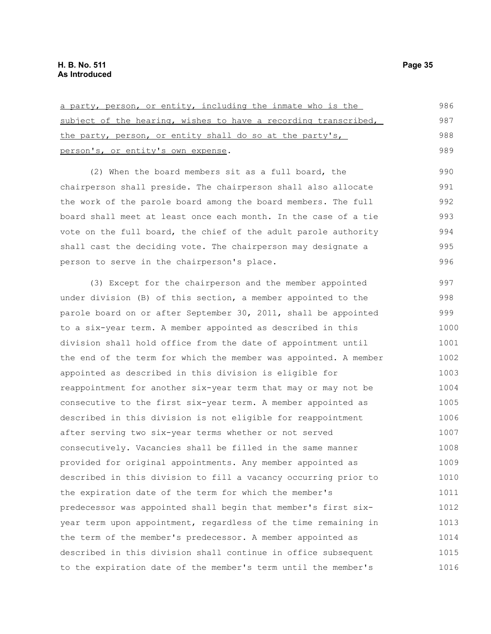| a party, person, or entity, including the inmate who is the      | 986  |
|------------------------------------------------------------------|------|
| subject of the hearing, wishes to have a recording transcribed,  | 987  |
| the party, person, or entity shall do so at the party's,         | 988  |
| person's, or entity's own expense.                               | 989  |
| (2) When the board members sit as a full board, the              | 990  |
| chairperson shall preside. The chairperson shall also allocate   | 991  |
| the work of the parole board among the board members. The full   | 992  |
| board shall meet at least once each month. In the case of a tie  | 993  |
| vote on the full board, the chief of the adult parole authority  | 994  |
| shall cast the deciding vote. The chairperson may designate a    | 995  |
| person to serve in the chairperson's place.                      | 996  |
| (3) Except for the chairperson and the member appointed          | 997  |
| under division (B) of this section, a member appointed to the    | 998  |
| parole board on or after September 30, 2011, shall be appointed  | 999  |
| to a six-year term. A member appointed as described in this      | 1000 |
| division shall hold office from the date of appointment until    | 1001 |
| the end of the term for which the member was appointed. A member | 1002 |
| appointed as described in this division is eligible for          | 1003 |
| reappointment for another six-year term that may or may not be   | 1004 |
| consecutive to the first six-year term. A member appointed as    | 1005 |
| described in this division is not eligible for reappointment     | 1006 |
| after serving two six-year terms whether or not served           | 1007 |
| consecutively. Vacancies shall be filled in the same manner      | 1008 |
| provided for original appointments. Any member appointed as      | 1009 |
| deepsted to this division to fill a wagener against project pro  | 1010 |

division shall hold office from the date of appointment until the end of the term for which the member was appointed. A member appoin reappointment for another six-year term that may or may not be consecutive to the first six-year term. A member appointed as described in this division is not eligible for reappointment after serving two six-year terms whether or not served consecutively. Vacancies shall be filled in the same manner provided for original appointments. Any member appointed as described in this division to fill a vacancy occurring prior to the expiration date of the term for which the member's predecessor was appointed shall begin that member's first sixyear term upon appointment, regardless of the time remaining in the term of the member's predecessor. A member appointed as described in this division shall continue in office subsequent to the expiration date of the member's term until the member's 1010 1011 1012 1013 1014 1015 1016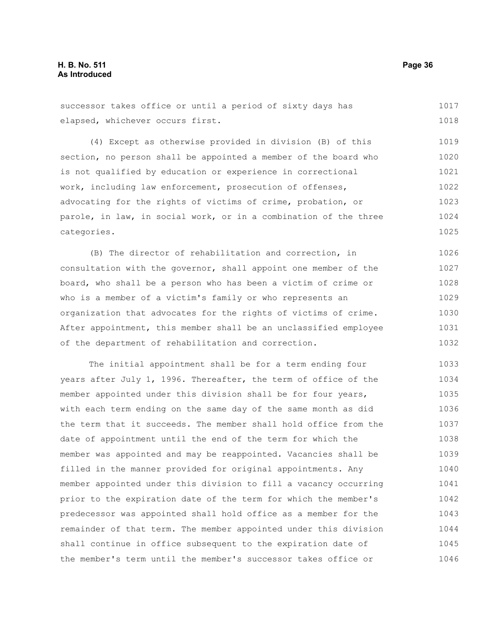successor takes office or until a period of sixty days has elapsed, whichever occurs first. 1017 1018

(4) Except as otherwise provided in division (B) of this section, no person shall be appointed a member of the board who is not qualified by education or experience in correctional work, including law enforcement, prosecution of offenses, advocating for the rights of victims of crime, probation, or parole, in law, in social work, or in a combination of the three categories. 1019 1020 1021 1022 1023 1024 1025

(B) The director of rehabilitation and correction, in consultation with the governor, shall appoint one member of the board, who shall be a person who has been a victim of crime or who is a member of a victim's family or who represents an organization that advocates for the rights of victims of crime. After appointment, this member shall be an unclassified employee of the department of rehabilitation and correction. 1026 1027 1028 1029 1030 1031 1032

The initial appointment shall be for a term ending four years after July 1, 1996. Thereafter, the term of office of the member appointed under this division shall be for four years, with each term ending on the same day of the same month as did the term that it succeeds. The member shall hold office from the date of appointment until the end of the term for which the member was appointed and may be reappointed. Vacancies shall be filled in the manner provided for original appointments. Any member appointed under this division to fill a vacancy occurring prior to the expiration date of the term for which the member's predecessor was appointed shall hold office as a member for the remainder of that term. The member appointed under this division shall continue in office subsequent to the expiration date of the member's term until the member's successor takes office or 1033 1034 1035 1036 1037 1038 1039 1040 1041 1042 1043 1044 1045 1046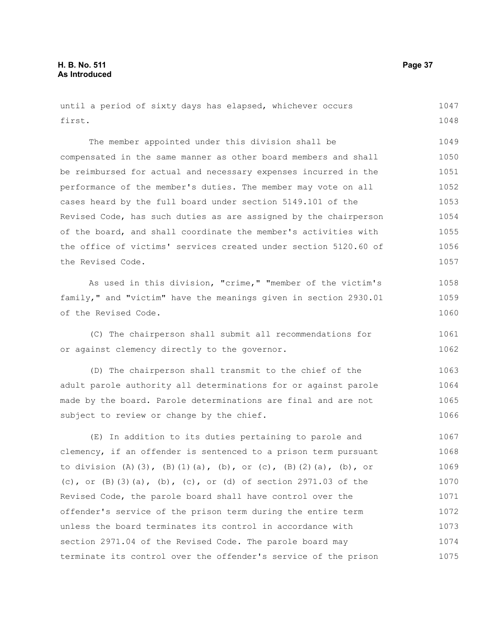until a period of sixty days has elapsed, whichever occurs first. 1047 1048

The member appointed under this division shall be compensated in the same manner as other board members and shall be reimbursed for actual and necessary expenses incurred in the performance of the member's duties. The member may vote on all cases heard by the full board under section 5149.101 of the Revised Code, has such duties as are assigned by the chairperson of the board, and shall coordinate the member's activities with the office of victims' services created under section 5120.60 of the Revised Code. 1049 1050 1051 1052 1053 1054 1055 1056 1057

As used in this division, "crime," "member of the victim's family," and "victim" have the meanings given in section 2930.01 of the Revised Code. 1058 1059 1060

(C) The chairperson shall submit all recommendations for or against clemency directly to the governor. 1061 1062

(D) The chairperson shall transmit to the chief of the adult parole authority all determinations for or against parole made by the board. Parole determinations are final and are not subject to review or change by the chief. 1063 1064 1065 1066

(E) In addition to its duties pertaining to parole and clemency, if an offender is sentenced to a prison term pursuant to division (A)(3), (B)(1)(a), (b), or (c), (B)(2)(a), (b), or (c), or  $(B)(3)(a)$ ,  $(b)$ ,  $(c)$ , or  $(d)$  of section 2971.03 of the Revised Code, the parole board shall have control over the offender's service of the prison term during the entire term unless the board terminates its control in accordance with section 2971.04 of the Revised Code. The parole board may terminate its control over the offender's service of the prison 1067 1068 1069 1070 1071 1072 1073 1074 1075